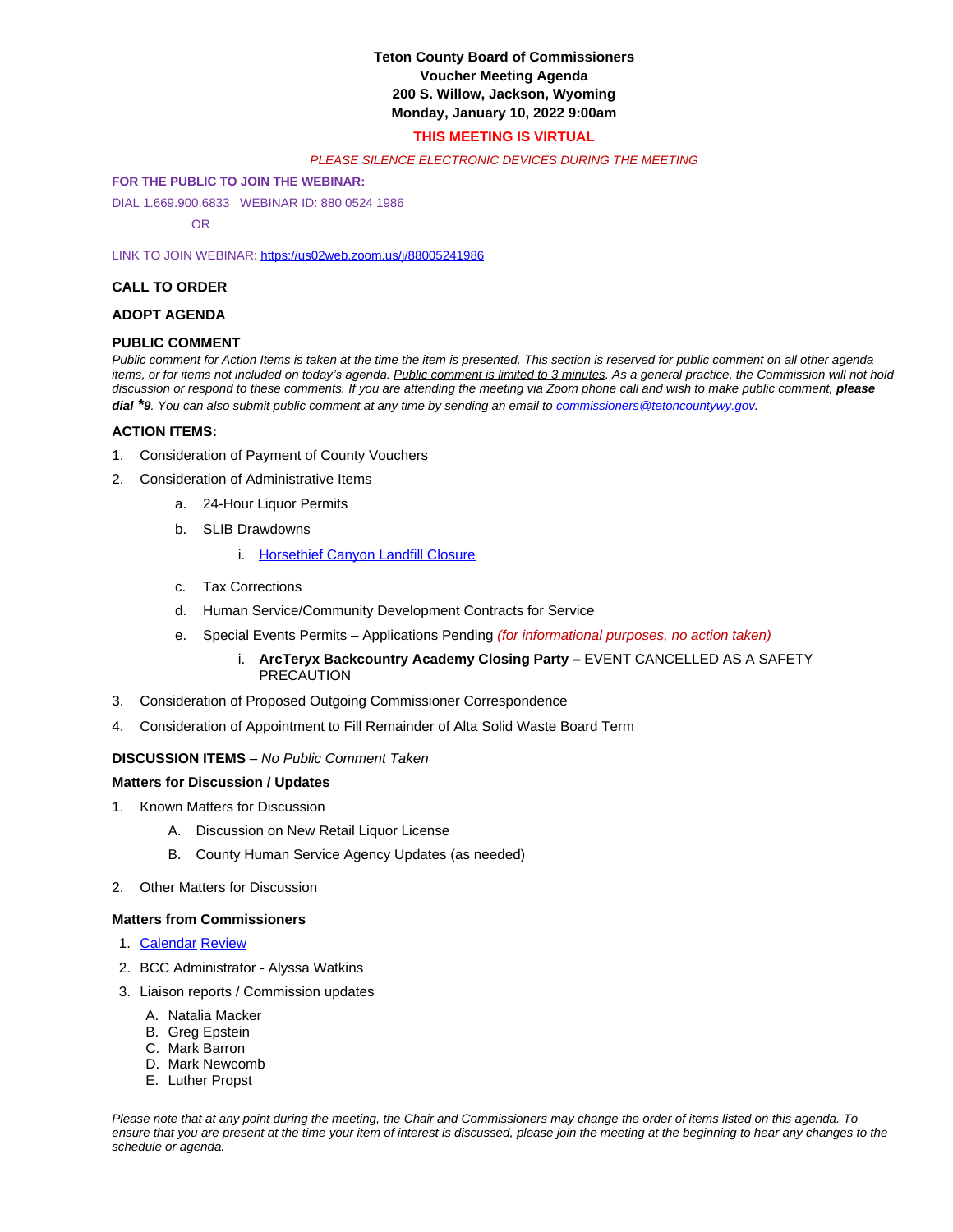# **Teton County Board of Commissioners Voucher Meeting Agenda 200 S. Willow, Jackson, Wyoming Monday, January 10, 2022 9:00am**

# **THIS MEETING IS VIRTUAL**

### *PLEASE SILENCE ELECTRONIC DEVICES DURING THE MEETING*

### **FOR THE PUBLIC TO JOIN THE WEBINAR:**

DIAL 1.669.900.6833 WEBINAR ID: 880 0524 1986

OR

LINK TO JOIN WEBINAR: <https://us02web.zoom.us/j/88005241986>

# **CALL TO ORDER**

### **ADOPT AGENDA**

# **PUBLIC COMMENT**

*Public comment for Action Items is taken at the time the item is presented. This section is reserved for public comment on all other agenda items, or for items not included on today's agenda. Public comment is limited to 3 minutes. As a general practice, the Commission will not hold* discussion or respond to these comments. If you are attending the meeting via Zoom phone call and wish to make public comment, *please dial \*9. You can also submit public comment at any time by sending an email to [commissioners@tetoncountywy.gov.](mailto:commissioners@tetoncountywy.gov)*

# **[ACTION ITEMS:](mailto:commissioners@tetoncountywy.gov)**

- 1. [Consideration of](mailto:commissioners@tetoncountywy.gov) [Payment](mailto:commissioners@tetoncountywy.gov) [of County Vouchers](mailto:commissioners@tetoncountywy.gov)
- 2. [Consideration of Administrative Items](mailto:commissioners@tetoncountywy.gov)
	- a. [24-Hour Liquor Permits](mailto:commissioners@tetoncountywy.gov)
	- b. [SLIB Drawdowns](mailto:commissioners@tetoncountywy.gov)
		- i. [Horsethief Canyon Landfill Closure](https://www.tetoncountywy.gov/DocumentCenter/View/20841/01104-SLIB-Drawdown)
	- c. [Tax Corrections](https://www.tetoncountywy.gov/DocumentCenter/View/20841/01104-SLIB-Drawdown)
	- d. [Human Service/Community Development Contracts for Service](https://www.tetoncountywy.gov/DocumentCenter/View/20841/01104-SLIB-Drawdown)
	- e. [Special Events Permits](https://www.tetoncountywy.gov/DocumentCenter/View/20841/01104-SLIB-Drawdown)  [Applications Pending](https://www.tetoncountywy.gov/DocumentCenter/View/20841/01104-SLIB-Drawdown) *[\(for informational purposes, no action taken\)](https://www.tetoncountywy.gov/DocumentCenter/View/20841/01104-SLIB-Drawdown)*
		- i. **[ArcTeryx Backcountry Academy Closing Party](https://www.tetoncountywy.gov/DocumentCenter/View/20841/01104-SLIB-Drawdown) [–](https://www.tetoncountywy.gov/DocumentCenter/View/20841/01104-SLIB-Drawdown)** [EVENT CANCELLED AS A SAFETY](https://www.tetoncountywy.gov/DocumentCenter/View/20841/01104-SLIB-Drawdown)  **[PRECAUTION](https://www.tetoncountywy.gov/DocumentCenter/View/20841/01104-SLIB-Drawdown)**
- 3. [Consideration of](https://www.tetoncountywy.gov/DocumentCenter/View/20841/01104-SLIB-Drawdown) [Proposed Outgoing Commissioner Correspondence](https://www.tetoncountywy.gov/DocumentCenter/View/20841/01104-SLIB-Drawdown)
- 4. [Consideration of Appointment to Fill Remainder of Alta Solid Waste Board Term](https://www.tetoncountywy.gov/DocumentCenter/View/20841/01104-SLIB-Drawdown)

#### **[DISCUSSION ITEMS](https://www.tetoncountywy.gov/DocumentCenter/View/20841/01104-SLIB-Drawdown)** *[–](https://www.tetoncountywy.gov/DocumentCenter/View/20841/01104-SLIB-Drawdown) [No Public Comment Taken](https://www.tetoncountywy.gov/DocumentCenter/View/20841/01104-SLIB-Drawdown)*

#### **[Matters for Discussion / Updates](https://www.tetoncountywy.gov/DocumentCenter/View/20841/01104-SLIB-Drawdown)**

- 1. [Known Matters for Discussion](https://www.tetoncountywy.gov/DocumentCenter/View/20841/01104-SLIB-Drawdown)
	- A. [Discussion on New Retail Liquor License](https://www.tetoncountywy.gov/DocumentCenter/View/20841/01104-SLIB-Drawdown)
	- B. [County Human Service Agency Updates \(as needed\)](https://www.tetoncountywy.gov/DocumentCenter/View/20841/01104-SLIB-Drawdown)
- 2. [Other](https://www.tetoncountywy.gov/DocumentCenter/View/20841/01104-SLIB-Drawdown) [Matters for Discussion](https://www.tetoncountywy.gov/DocumentCenter/View/20841/01104-SLIB-Drawdown)

#### **[Matters](https://www.tetoncountywy.gov/DocumentCenter/View/20841/01104-SLIB-Drawdown) [from Commissioners](https://www.tetoncountywy.gov/DocumentCenter/View/20841/01104-SLIB-Drawdown)**

- 1. [Calendar](https://tetoncountywy.gov/DocumentCenter/View/20837/0110-Calendar) [Review](https://tetoncountywy.gov/DocumentCenter/View/20837/0110-Calendar)
- 2. [BCC](https://tetoncountywy.gov/DocumentCenter/View/20837/0110-Calendar) [Administrator Alyssa Watkins](https://tetoncountywy.gov/DocumentCenter/View/20837/0110-Calendar)
- 3. [Liaison reports](https://tetoncountywy.gov/DocumentCenter/View/20837/0110-Calendar) [/](https://tetoncountywy.gov/DocumentCenter/View/20837/0110-Calendar) [Commission](https://tetoncountywy.gov/DocumentCenter/View/20837/0110-Calendar) [updates](https://tetoncountywy.gov/DocumentCenter/View/20837/0110-Calendar)
	- A. [Natalia Macker](https://tetoncountywy.gov/DocumentCenter/View/20837/0110-Calendar)
	- B. [Greg Epstein](https://tetoncountywy.gov/DocumentCenter/View/20837/0110-Calendar)
	- C. [Mark Barron](https://tetoncountywy.gov/DocumentCenter/View/20837/0110-Calendar)
	- D. [Mark Newcomb](https://tetoncountywy.gov/DocumentCenter/View/20837/0110-Calendar)
	- E. [Luther Propst](https://tetoncountywy.gov/DocumentCenter/View/20837/0110-Calendar)

*Please note that at any point during the meeting, the Chair and Commissioners may change the order of items listed on this agenda. To ensure that you are present at the time your item of interest is discussed, please join the meeting at the beginning to hear any changes to the schedule or agenda.*